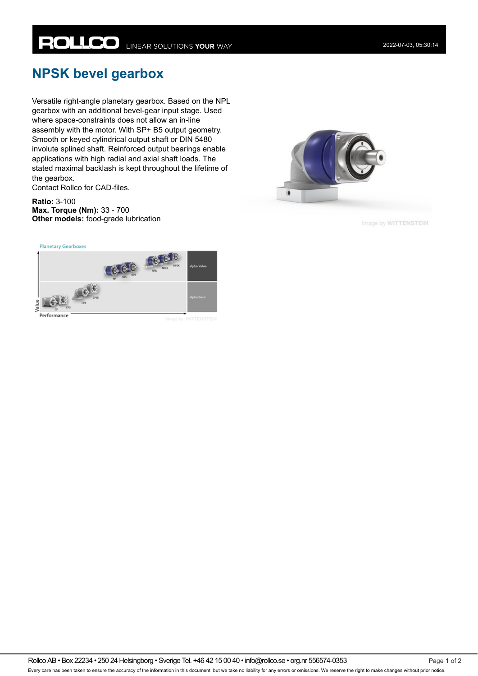## **NPSK bevel gearbox**

Versatile right-angle planetary gearbox. Based on the NPL gearbox with an additional bevel-gear input stage. Used where space-constraints does not allow an in-line assembly with the motor. With SP+ B5 output geometry. Smooth or keyed cylindrical output shaft or DIN 5480 involute splined shaft. Reinforced output bearings enable applications with high radial and axial shaft loads. The stated maximal backlash is kept throughout the lifetime of the gearbox.

Contact Rollco for CAD-files.

**Ratio:** 3-100 **Max. Torque (Nm):** 33 - 700 **Other models:** food-grade lubrication



Image by WITTENSTEIN